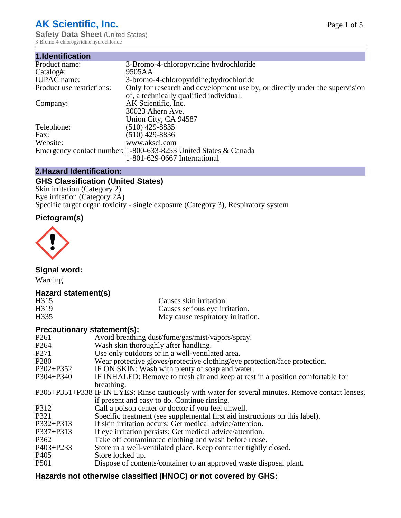# **AK Scientific, Inc.**

**Safety Data Sheet (United States)** 3-Bromo-4-chloropyridine hydrochloride

| 1.Identification          |                                                                             |
|---------------------------|-----------------------------------------------------------------------------|
| Product name:             | 3-Bromo-4-chloropyridine hydrochloride                                      |
| Catalog#:                 | 9505AA                                                                      |
| <b>IUPAC</b> name:        | 3-bromo-4-chloropyridine; hydrochloride                                     |
| Product use restrictions: | Only for research and development use by, or directly under the supervision |
|                           | of, a technically qualified individual.                                     |
| Company:                  | AK Scientific, Inc.                                                         |
|                           | 30023 Ahern Ave.                                                            |
|                           | Union City, CA 94587                                                        |
| Telephone:                | $(510)$ 429-8835                                                            |
| Fax:                      | (510) 429-8836                                                              |
| Website:                  | www.aksci.com                                                               |
|                           | Emergency contact number: 1-800-633-8253 United States & Canada             |
|                           | 1-801-629-0667 International                                                |

## **2.Hazard Identification:**

# **GHS Classification (United States)**

Skin irritation (Category 2) Eye irritation (Category 2A) Specific target organ toxicity - single exposure (Category 3), Respiratory system

## **Pictogram(s)**



**Signal word:**

Warning

## **Hazard statement(s)**

| H315              | Causes skin irritation.           |
|-------------------|-----------------------------------|
| H <sub>3</sub> 19 | Causes serious eye irritation.    |
| H335              | May cause respiratory irritation. |

## **Precautionary statement(s):**

| P <sub>261</sub> | Avoid breathing dust/fume/gas/mist/vapors/spray.                                                   |
|------------------|----------------------------------------------------------------------------------------------------|
| P <sub>264</sub> | Wash skin thoroughly after handling.                                                               |
| P <sub>271</sub> | Use only outdoors or in a well-ventilated area.                                                    |
| P <sub>280</sub> | Wear protective gloves/protective clothing/eye protection/face protection.                         |
| P302+P352        | IF ON SKIN: Wash with plenty of soap and water.                                                    |
| $P304 + P340$    | IF INHALED: Remove to fresh air and keep at rest in a position comfortable for                     |
|                  | breathing.                                                                                         |
|                  | P305+P351+P338 IF IN EYES: Rinse cautiously with water for several minutes. Remove contact lenses, |
|                  | if present and easy to do. Continue rinsing.                                                       |
| P312             | Call a poison center or doctor if you feel unwell.                                                 |
| P321             | Specific treatment (see supplemental first aid instructions on this label).                        |
| P332+P313        | If skin irritation occurs: Get medical advice/attention.                                           |
| P337+P313        | If eye irritation persists: Get medical advice/attention.                                          |
| P362             | Take off contaminated clothing and wash before reuse.                                              |
| $P403 + P233$    | Store in a well-ventilated place. Keep container tightly closed.                                   |
| P <sub>405</sub> | Store locked up.                                                                                   |
| P <sub>501</sub> | Dispose of contents/container to an approved waste disposal plant.                                 |
|                  |                                                                                                    |

# **Hazards not otherwise classified (HNOC) or not covered by GHS:**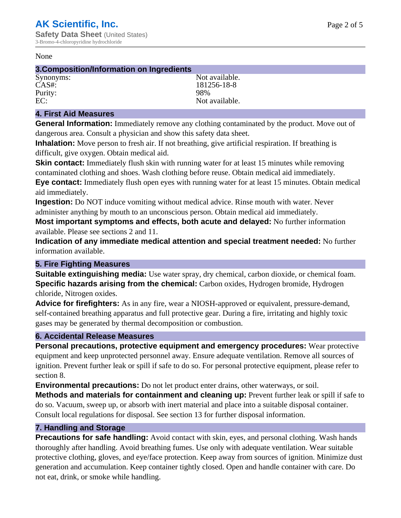#### None

#### **3.Composition/Information on Ingredients**

Purity: 98%<br>EC: Not a

Synonyms: Not available. CAS#: 181256-18-8 Not available.

## **4. First Aid Measures**

**General Information:** Immediately remove any clothing contaminated by the product. Move out of dangerous area. Consult a physician and show this safety data sheet.

**Inhalation:** Move person to fresh air. If not breathing, give artificial respiration. If breathing is difficult, give oxygen. Obtain medical aid.

**Skin contact:** Immediately flush skin with running water for at least 15 minutes while removing contaminated clothing and shoes. Wash clothing before reuse. Obtain medical aid immediately. **Eye contact:** Immediately flush open eyes with running water for at least 15 minutes. Obtain medical aid immediately.

**Ingestion:** Do NOT induce vomiting without medical advice. Rinse mouth with water. Never administer anything by mouth to an unconscious person. Obtain medical aid immediately.

**Most important symptoms and effects, both acute and delayed:** No further information available. Please see sections 2 and 11.

**Indication of any immediate medical attention and special treatment needed:** No further information available.

## **5. Fire Fighting Measures**

**Suitable extinguishing media:** Use water spray, dry chemical, carbon dioxide, or chemical foam. **Specific hazards arising from the chemical:** Carbon oxides, Hydrogen bromide, Hydrogen chloride, Nitrogen oxides.

**Advice for firefighters:** As in any fire, wear a NIOSH-approved or equivalent, pressure-demand, self-contained breathing apparatus and full protective gear. During a fire, irritating and highly toxic gases may be generated by thermal decomposition or combustion.

## **6. Accidental Release Measures**

**Personal precautions, protective equipment and emergency procedures:** Wear protective equipment and keep unprotected personnel away. Ensure adequate ventilation. Remove all sources of ignition. Prevent further leak or spill if safe to do so. For personal protective equipment, please refer to section 8.

**Environmental precautions:** Do not let product enter drains, other waterways, or soil.

**Methods and materials for containment and cleaning up:** Prevent further leak or spill if safe to do so. Vacuum, sweep up, or absorb with inert material and place into a suitable disposal container. Consult local regulations for disposal. See section 13 for further disposal information.

## **7. Handling and Storage**

**Precautions for safe handling:** Avoid contact with skin, eyes, and personal clothing. Wash hands thoroughly after handling. Avoid breathing fumes. Use only with adequate ventilation. Wear suitable protective clothing, gloves, and eye/face protection. Keep away from sources of ignition. Minimize dust generation and accumulation. Keep container tightly closed. Open and handle container with care. Do not eat, drink, or smoke while handling.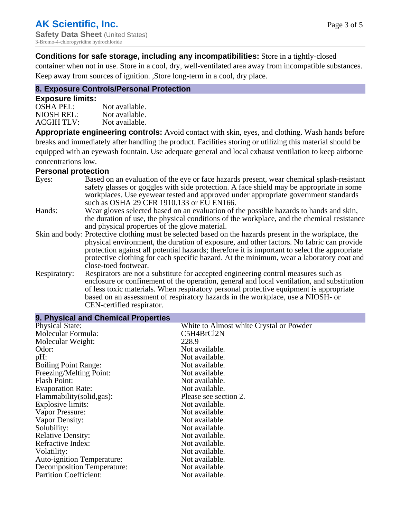## **Conditions for safe storage, including any incompatibilities:** Store in a tightly-closed

container when not in use. Store in a cool, dry, well-ventilated area away from incompatible substances. Keep away from sources of ignition. ,Store long-term in a cool, dry place.

## **8. Exposure Controls/Personal Protection**

#### **Exposure limits:**

| <b>OSHA PEL:</b>  | Not available. |
|-------------------|----------------|
| NIOSH REL:        | Not available. |
| <b>ACGIH TLV:</b> | Not available. |

**Appropriate engineering controls:** Avoid contact with skin, eyes, and clothing. Wash hands before breaks and immediately after handling the product. Facilities storing or utilizing this material should be equipped with an eyewash fountain. Use adequate general and local exhaust ventilation to keep airborne concentrations low.

#### **Personal protection**

| Eyes:        | Based on an evaluation of the eye or face hazards present, wear chemical splash-resistant<br>safety glasses or goggles with side protection. A face shield may be appropriate in some<br>workplaces. Use eyewear tested and approved under appropriate government standards<br>such as OSHA 29 CFR 1910.133 or EU EN166. |
|--------------|--------------------------------------------------------------------------------------------------------------------------------------------------------------------------------------------------------------------------------------------------------------------------------------------------------------------------|
| Hands:       | Wear gloves selected based on an evaluation of the possible hazards to hands and skin,                                                                                                                                                                                                                                   |
|              | the duration of use, the physical conditions of the workplace, and the chemical resistance<br>and physical properties of the glove material.                                                                                                                                                                             |
|              | Skin and body: Protective clothing must be selected based on the hazards present in the workplace, the                                                                                                                                                                                                                   |
|              | physical environment, the duration of exposure, and other factors. No fabric can provide                                                                                                                                                                                                                                 |
|              | protection against all potential hazards; therefore it is important to select the appropriate<br>protective clothing for each specific hazard. At the minimum, wear a laboratory coat and                                                                                                                                |
|              | close-toed footwear.                                                                                                                                                                                                                                                                                                     |
| Respiratory: | Respirators are not a substitute for accepted engineering control measures such as<br>enclosure or confinement of the operation, general and local ventilation, and substitution<br>of less toxic materials. When respiratory personal protective equipment is appropriate                                               |
|              | based on an assessment of respiratory hazards in the workplace, use a NIOSH- or                                                                                                                                                                                                                                          |
|              | CEN-certified respirator.                                                                                                                                                                                                                                                                                                |

| 9. Physical and Chemical Properties |                                         |  |  |
|-------------------------------------|-----------------------------------------|--|--|
| <b>Physical State:</b>              | White to Almost white Crystal or Powder |  |  |
| Molecular Formula:                  | C5H4BrCl2N                              |  |  |
| Molecular Weight:                   | 228.9                                   |  |  |
| Odor:                               | Not available.                          |  |  |
| pH:                                 | Not available.                          |  |  |
| <b>Boiling Point Range:</b>         | Not available.                          |  |  |
| Freezing/Melting Point:             | Not available.                          |  |  |
| <b>Flash Point:</b>                 | Not available.                          |  |  |
| <b>Evaporation Rate:</b>            | Not available.                          |  |  |
| Flammability(solid,gas):            | Please see section 2.                   |  |  |
| Explosive limits:                   | Not available.                          |  |  |
| Vapor Pressure:                     | Not available.                          |  |  |
| Vapor Density:                      | Not available.                          |  |  |
| Solubility:                         | Not available.                          |  |  |
| <b>Relative Density:</b>            | Not available.                          |  |  |
| Refractive Index:                   | Not available.                          |  |  |
| Volatility:                         | Not available.                          |  |  |
| <b>Auto-ignition Temperature:</b>   | Not available.                          |  |  |
| <b>Decomposition Temperature:</b>   | Not available.                          |  |  |
| <b>Partition Coefficient:</b>       | Not available.                          |  |  |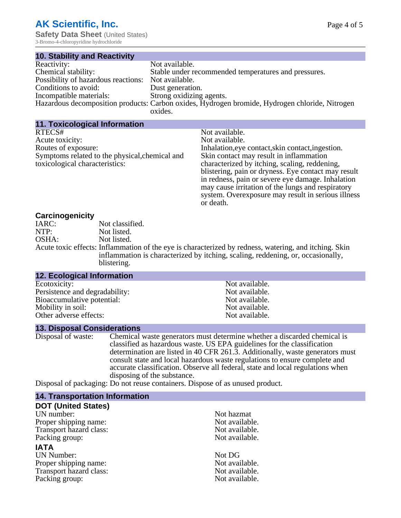3-Bromo-4-chloropyridine hydrochloride

| <b>10. Stability and Reactivity</b> |                                                                                                |
|-------------------------------------|------------------------------------------------------------------------------------------------|
| Reactivity:                         | Not available.                                                                                 |
| Chemical stability:                 | Stable under recommended temperatures and pressures.                                           |
| Possibility of hazardous reactions: | Not available.                                                                                 |
| Conditions to avoid:                | Dust generation.                                                                               |
| Incompatible materials:             | Strong oxidizing agents.                                                                       |
|                                     | Hazardous decomposition products: Carbon oxides, Hydrogen bromide, Hydrogen chloride, Nitrogen |
|                                     | oxides.                                                                                        |

| <b>11. Toxicological Information</b>                                                                                                 |                                                                                                                                                                                                                                                                                                                                                                                                           |
|--------------------------------------------------------------------------------------------------------------------------------------|-----------------------------------------------------------------------------------------------------------------------------------------------------------------------------------------------------------------------------------------------------------------------------------------------------------------------------------------------------------------------------------------------------------|
| RTECS#<br>Acute toxicity:<br>Routes of exposure:<br>Symptoms related to the physical, chemical and<br>toxicological characteristics: | Not available.<br>Not available.<br>Inhalation, eye contact, skin contact, ingestion.<br>Skin contact may result in inflammation<br>characterized by itching, scaling, reddening,<br>blistering, pain or dryness. Eye contact may result<br>in redness, pain or severe eye damage. Inhalation<br>may cause irritation of the lungs and respiratory<br>system. Over exposure may result in serious illness |
|                                                                                                                                      | or death.                                                                                                                                                                                                                                                                                                                                                                                                 |
|                                                                                                                                      |                                                                                                                                                                                                                                                                                                                                                                                                           |

## **Carcinogenicity**

| 34.3  |                                                                                                       |
|-------|-------------------------------------------------------------------------------------------------------|
| IARC: | Not classified.                                                                                       |
| NTP:  | Not listed.                                                                                           |
| OSHA: | Not listed.                                                                                           |
|       | Acute toxic effects: Inflammation of the eye is characterized by redness, watering, and itching. Skin |
|       | inflammation is characterized by itching, scaling, reddening, or, occasionally,                       |
|       | blistering.                                                                                           |

#### **12. Ecological Information**

| Ecotoxicity:                   |  |
|--------------------------------|--|
| Persistence and degradability: |  |
| Bioaccumulative potential:     |  |
| Mobility in soil:              |  |
| Other adverse effects:         |  |

**13. Disposal Considerations**

Disposal of waste: Chemical waste generators must determine whether a discarded chemical is classified as hazardous waste. US EPA guidelines for the classification determination are listed in 40 CFR 261.3. Additionally, waste generators must consult state and local hazardous waste regulations to ensure complete and accurate classification. Observe all federal, state and local regulations when disposing of the substance.

Disposal of packaging: Do not reuse containers. Dispose of as unused product.

## **14. Transportation Information**

# **DOT (United States)**

UN number:<br>
Proper shipping name:<br>
Not available. Proper shipping name:<br>
Transport hazard class:<br>
Not available.<br>
Not available. Transport hazard class:<br>
Packing group: Not available.<br>
Not available. Packing group:

## **IATA**

UN Number:<br>
Proper shipping name:<br>
Not available. Proper shipping name:<br>
Transport hazard class:<br>
Not available. Transport hazard class:<br>
Packing group: Not available.<br>
Not available. Packing group:

Not available. Not available. Not available. Not available. Not available.